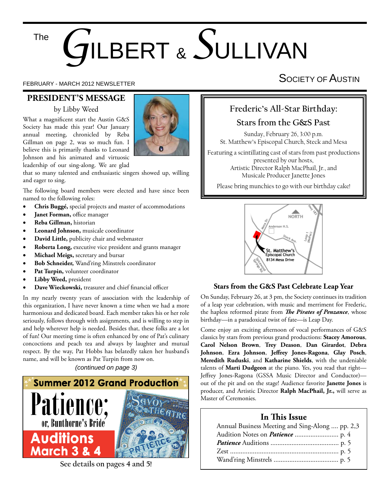#### The

# *G*ILBERT & *S*ULLIVAN

#### **PRESIDENT'S MESSAGE**

#### by Libby Weed

What a magnificent start the Austin G&S Society has made this year! Our January annual meeting, chronicled by Reba Gillman on page 2, was so much fun. I believe this is primarily thanks to Leonard Johnson and his animated and virtuosic leadership of our sing-along. We are glad



that so many talented and enthusiastic singers showed up, willing and eager to sing.

The following board members were elected and have since been named to the following roles:

- **Chris Buggé,** special projects and master of accommodations
- **Janet Forman, office manager**
- **Reba Gillman,** historian
- **Leonard Johnson,** musicale coordinator
- **David Little,** publicity chair and webmaster
- **Roberta Long,** executive vice president and grants manager
- **Michael Meigs,** secretary and bursar
- **Bob Schneider,** Wand'ring Minstrels coordinator
- **Pat Turpin,** volunteer coordinator
- **Libby Weed,** president
- Dave Wieckowski, treasurer and chief financial officer

In my nearly twenty years of association with the leadership of this organization, I have never known a time when we had a more harmonious and dedicated board. Each member takes his or her role seriously, follows through with assignments, and is willing to step in and help wherever help is needed. Besides that, these folks are a lot of fun! Our meeting time is often enhanced by one of Pat's culinary concoctions and peach tea and always by laughter and mutual respect. By the way, Pat Hobbs has belatedly taken her husband's name, and will be known as Pat Turpin from now on.

*(continued on page 3)*



**See details on pages 4 and 5!**

# FEBRUARY - MARCH 2012 NEWSLETTER SOCIETY OF AUSTIN

### **Frederic's All-Star Birthday:**

#### **Stars from the G&S Past**

Sunday, February 26, 3:00 p.m. St. Matthew's Episcopal Church, Steck and Mesa

Featuring a scintillating cast of stars from past productions presented by our hosts, Artistic Director Ralph MacPhail, Jr., and Musicale Producer Janette Jones

Please bring munchies to go with our birthday cake!



#### **Stars from the G&S Past Celebrate Leap Year**

On Sunday, February 26, at 3 pm, the Society continues its tradition of a leap year celebration, with music and merriment for Frederic, the hapless reformed pirate from *The Pirates of Penzance*, whose birthday—in a paradoxical twist of fate—is Leap Day.

Come enjoy an exciting afternoon of vocal performances of G&S classics by stars from previous grand productions: **Stacey Amorous**, **Carol Nelson Brown**, **Trey Deason**, **Dan Girardot**, **Debra**  Johnson, Ezra Johnson, Jeffrey Jones-Ragona, Glay Posch, **Meredith Ruduski**, and **Katharine Shields**, with the undeniable talents of **Marti Dudgeon** at the piano. Yes, you read that right— Jeffrey Jones-Ragona (GSSA Music Director and Conductor)out of the pit and on the stage! Audience favorite **Janette Jones** is producer, and Artistic Director Ralph MacPhail, Jr., will serve as Master of Ceremonies.

#### **In This Issue**

| Annual Business Meeting and Sing-Along  pp. 2,3 |  |
|-------------------------------------------------|--|
|                                                 |  |
|                                                 |  |
|                                                 |  |
|                                                 |  |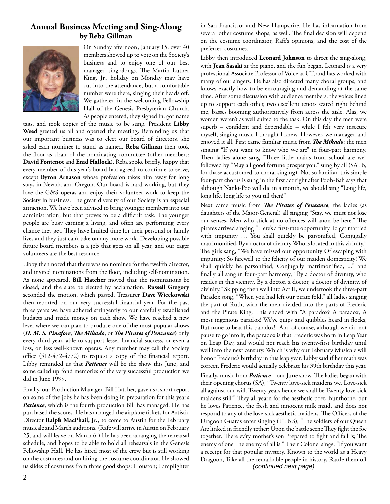#### **Annual Business Meeting and Sing-Along by Reba Gillman**



On Sunday afternoon, January 15, over 40 members showed up to vote on the Society's business and to enjoy one of our best managed sing-alongs. The Martin Luther King, Jr., holiday on Monday may have cut into the attendance, but a comfortable number were there, singing their heads off. We gathered in the welcoming Fellowship Hall of the Genesis Presbyterian Church. As people entered, they signed in, got name

tags, and took copies of the music to be sung. President **Libby Weed** greeted us all and opened the meeting. Reminding us that our important business was to elect our board of directors, she asked each nominee to stand as named. **Reba Gillman** then took the floor as chair of the nominating committee (other members: **David Fontenot** and **Enid Hallock**). Reba spoke briefly, happy that every member of this year's board had agreed to continue to serve, except **Byron Arnason** whose profession takes him away for long stays in Nevada and Oregon. Our board is hard working, but they love the G&S operas and enjoy their volunteer work to keep the Society in business. The great diversity of our Society is an especial attraction. We have been advised to bring younger members into our administration, but that proves to be a difficult task. The younger people are busy earning a living, and often are performing every chance they get. They have limited time for their personal or family lives and they just can't take on any more work. Developing possible future board members is a job that goes on all year, and our eager volunteers are the best resource.

Libby then noted that there was no nominee for the twelfth director, and invited nominations from the floor, including self-nomination. As none appeared, **Bill Hatcher** moved that the nominations be closed, and the slate be elected by acclamation. **Russell Gregory**  seconded the motion, which passed. Treasurer **Dave Wieckowski**  then reported on our very successful financial year. For the past three years we have adhered stringently to our carefully established budgets and made money on each show. We have reached a new level where we can plan to produce one of the most popular shows (*H. M. S. Pinafore, The Mikado, or The Pirates of Penzance*) only every third year, able to support lesser financial success, or even a loss, on less well-known operas. Any member may call the Society office  $(512-472-4772)$  to request a copy of the financial report. Libby reminded us that *Patience* will be the show this June, and some called up fond memories of the very successful production we did in June 1999.

Finally, our Production Manager, Bill Hatcher, gave us a short report on some of the jobs he has been doing in preparation for this year's *Patience*, which is the fourth production Bill has managed. He has purchased the scores. He has arranged the airplane tickets for Artistic Director **Ralph MacPhail, Jr.**, to come to Austin for the February musicale and March auditions. (Rafe will arrive in Austin on February 25, and will leave on March 6.) He has been arranging the rehearsal schedule, and hopes to be able to hold all rehearsals in the Genesis Fellowship Hall. He has hired most of the crew but is still working on the costumes and on hiring the costume coordinator. He showed us slides of costumes from three good shops: Houston; Lamplighter

in San Francisco; and New Hampshire. He has information from several other costume shops, as well. The final decision will depend on the costume coordinator, Rafe's opinions, and the cost of the preferred costumes.

Libby then introduced **Leonard Johnson** to direct the sing-along, with **Jean Sasaki** at the piano, and the fun began. Leonard is a very professional Associate Professor of Voice at UT, and has worked with many of our singers. He has also directed many choral groups, and knows exactly how to be encouraging and demanding at the same time. After some discussion with audience members, the voices lined up to support each other, two excellent tenors seated right behind me, basses booming authoritatively from across the aisle. Alas, we women weren't as well suited to the task. On this day the men were superb - confident and dependable - while I felt very insecure myself, singing music I thought I knew. However, we managed and enjoyed it all. First came familiar music from *The Mikado*: the men singing "If you want to know who we are" in four-part harmony. Then ladies alone sang "Three little maids from school are we" followed by "May all good fortune prosper you," sung by all (SATB, for those accustomed to choral singing). Not so familiar, this simple four-part chorus is sung in the first act right after Pooh-Bah says that although Nanki-Poo will die in a month, we should sing "Long life, long life, long life to you till then!"

Next came music from *The Pirates of Penzance*, the ladies (as daughters of the Major-General) all singing "Stay, we must not lose our senses, Men who stick at no offences will anon be here." The pirates arrived singing "Here's a first-rate opportunity To get married with impunity ... You shall quickly be parsonified, Conjugally matrimonified, By a doctor of divinity Who is located in this vicinity." The girls sang, "We have missed our opportunity Of escaping with impunity; So farewell to the felicity of our maiden domesticity! We shall quickly be parsonified, Conjugally matrimonified, ..." and finally all sang in four-part harmony, "By a doctor of divinity, who resides in this vicinity, By a doctor, a doctor, a doctor of divinity, of divinity." Skipping then well into Act II, we undertook the three-part Paradox song, "When you had left our pirate fold," all ladies singing the part of Ruth, with the men divided into the parts of Frederic and the Pirate King. This ended with "A paradox? A paradox, A most ingenious paradox! We've quips and quibbles heard in flocks, But none to beat this paradox!" And of course, although we did not pause to go into it, the paradox is that Frederic was born in Leap Year on Leap Day, and would not reach his twenty-first birthday until well into the next century. Which is why our February Musicale will honor Frederic's birthday in this leap year. Libby said if her math was correct, Frederic would actually celebrate his 39th birthday this year.

Finally, music from *Patience* – our June show. The ladies began with their opening chorus (SA), "Twenty love-sick maidens we, Love-sick all against our will. Twenty years hence we shall be Twenty love-sick maidens still!" They all yearn for the aesthetic poet, Bunthorne, but he loves Patience, the fresh and innocent milk maid, and does not respond to any of the love-sick aesthetic maidens. The Officers of the Dragoon Guards enter singing (TTBB), "The soldiers of our Queen Are linked in friendly tether; Upon the battle scene They fight the foe together. There ev'ry mother's son Prepared to fight and fall is; The enemy of one The enemy of all is!" Their Colonel sings, "If you want a receipt for that popular mystery, Known to the world as a Heavy Dragoon, Take all the remarkable people in history, Rattle them off *(continued next page)*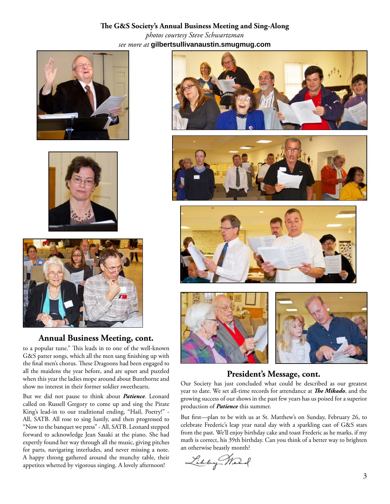#### The G&S Society's Annual Business Meeting and Sing-Along *photos courtesy Steve Schwartzman see more at* **gilbertsullivanaustin.smugmug.com**







#### **Annual Business Meeting, cont.**

to a popular tune." This leads in to one of the well-known G&S patter songs, which all the men sang finishing up with the final men's chorus. These Dragoons had been engaged to all the maidens the year before, and are upset and puzzled when this year the ladies mope around about Bunthorne and show no interest in their former soldier sweethearts.

But we did not pause to think about *Patience*. Leonard called on Russell Gregory to come up and sing the Pirate King's lead-in to our traditional ending, "Hail, Poetry!" - All, SATB. All rose to sing lustily, and then progressed to "Now to the banquet we press" - All, SATB. Leonard stepped forward to acknowledge Jean Sasaki at the piano. She had expertly found her way through all the music, giving pitches for parts, navigating interludes, and never missing a note. A happy throng gathered around the munchy table, their appetites whetted by vigorous singing. A lovely afternoon!









#### **President's Message, cont.**

Our Society has just concluded what could be described as our greatest year to date. We set all-time records for attendance at *The Mikado*, and the growing success of our shows in the past few years has us poised for a superior production of *Patience* this summer.

But first—plan to be with us at St. Matthew's on Sunday, February 26, to celebrate Frederic's leap year natal day with a sparkling cast of G&S stars from the past. We'll enjoy birthday cake and toast Frederic as he marks, if my math is correct, his 39th birthday. Can you think of a better way to brighten an otherwise beastly month?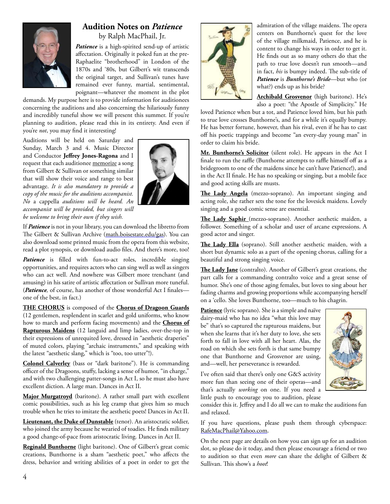

#### **Audition Notes on** *Patience* by Ralph MacPhail, Jr.

*Patience* is a high-spirited send-up of artistic affectation. Originally it poked fun at the pre-Raphaelite "brotherhood" in London of the 1870s and '80s, but Gilbert's wit transcends the original target, and Sullivan's tunes have remained ever funny, martial, sentimental, poignant—whatever the moment in the plot

demands. My purpose here is to provide information for auditionees concerning the auditions and also concerning the hilariously funny and incredibly tuneful show we will present this summer. If you're planning to audition, please read this in its entirety. And even if you're *not*, you may find it interesting!

Auditions will be held on Saturday and Sunday, March 3 and 4. Music Director and Conductor **Jeffrey Jones-Ragona** and I request that each auditionee memorize a song from Gilbert & Sullivan or something similar that will show their voice and range to best advantage. *It is also mandatory to provide a copy of the music for the auditions accompanist. No* a cappella *auditions will be heard. An accompanist will be provided, but singers will be welcome to bring their own if they wish.*



If *Patience* is not in your library, you can download the libretto from The Gilbert & Sullivan Archive (math.boisestate.edu/gas). You can also download some printed music from the opera from this website, read a plot synopsis, or download audio files. And there's more, too!

Patience is filled with fun-to-act roles, incredible singing opportunities, and requires actors who can sing well as well as singers who can act well. And nowhere was Gilbert more trenchant (and amusing) in his satire of artistic affectation or Sullivan more tuneful. (*Patience*, of course, has another of those wonderful Act I finales one of the best, in fact.)

**THE CHORUS** is composed of the **Chorus of Dragoon Guards** (12 gentlemen, resplendent in scarlet and gold uniforms, who know how to march and perform facing movements) and the **Chorus of Rapturous Maidens** (12 languid and limp ladies, over-the-top in their expressions of unrequited love, dressed in "aesthetic draperies" of muted colors, playing "archaic instruments," and speaking with the latest "aesthetic slang," which is "too, too utter"!).

**Colonel Calverley** (bass or "dark baritone"). He is commanding officer of the Dragoons, stuffy, lacking a sense of humor, "in charge," and with two challenging patter-songs in Act I, so he must also have excellent diction. A large man. Dances in Act II.

**Major Murgatroyd** (baritone). A rather small part with excellent comic possibilities, such as his leg cramp that gives him so much trouble when he tries to imitate the aesthetic poets! Dances in Act II.

**Lieutenant, the Duke of Dunstable** (tenor). An aristocratic soldier, who joined the army because he wearied of toadies. He finds military a good change-of-pace from aristocratic living. Dances in Act II.

**Reginald Bunthorne** (light baritone). One of Gilbert's great comic creations, Bunthorne is a sham "aesthetic poet," who affects the dress, behavior and writing abilities of a poet in order to get the



admiration of the village maidens. The opera centers on Bunthorne's quest for the love of the village milkmaid, Patience, and he is content to change his ways in order to get it. He finds out as so many others do that the path to true love doesn't run smooth—and in fact, his is bumpy indeed. The sub-title of *Patience* is *Bunthorne's Bride*—but who (or what?) ends up as his bride?

**Archibald Grosvenor** (high baritone). He's also a poet: "the Apostle of Simplicity." He

loved Patience when but a tot, and Patience loved him, but his path to true love crosses Bunthorne's, and for a while it's equally bumpy. He has better fortune, however, than his rival, even if he has to cast off his poetic trappings and become "an every-day young man" in order to claim his bride.

**Mr. Bunthorne's Solicitor** (silent role). He appears in the Act I finale to run the raffle (Bunthorne attempts to raffle himself off as a bridegroom to one of the maidens since he can't have Patience!), and in the Act II finale. He has no speaking or singing, but a mobile face and good acting skills are musts.

The Lady Angela (mezzo-soprano). An important singing and acting role, she rather sets the tone for the lovesick maidens. Lovely singing and a good comic sense are essential.

The Lady Saphir (mezzo-soprano). Another aesthetic maiden, a follower. Something of a scholar and user of arcane expressions. A good actor and singer.

The Lady Ella (soprano). Still another aesthetic maiden, with a short but dynamic solo as a part of the opening chorus, calling for a beautiful and strong singing voice.

The Lady Jane (contralto). Another of Gilbert's great creations, the part calls for a commanding contralto voice and a great sense of humor. She's one of those aging females, but loves to sing about her fading charms and growing proportions while accompanying herself on a 'cello. She loves Bunthorne, too—much to his chagrin.

**Patience** (lyric soprano). She is a simple and naïve dairy-maid who has no idea "what this love may be" that's so captured the rapturous maidens, but when she learns that it's her duty to love, she sets forth to fall in love with all her heart. Alas, the road on which she sets forth is that same bumpy one that Bunthorne and Grosvenor are using, and—well, her perseverance is rewarded.



I've often said that there's only one G&S activity more fun than seeing one of their operas—and that's actually *working* on one. If you need a little push to encourage you to audition, please

consider this it. Jeffrey and I do all we can to make the auditions fun and relaxed.

If you have questions, please push them through cyberspace: RafeMacPhail@Yahoo.com.

On the next page are details on how you can sign up for an audition slot, so please do it today, and then please encourage a friend or two to audition so that even *more* can share the delight of Gilbert & Sullivan. This show's a *hoot*!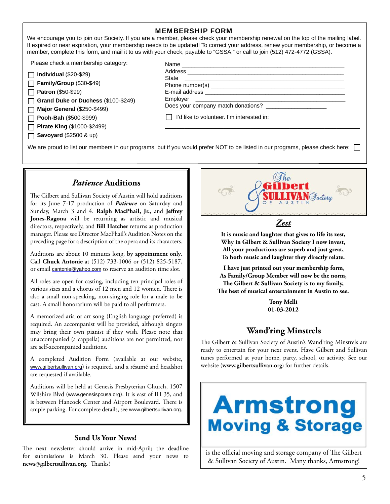#### MEMBERSHIP FORM

We encourage you to join our Society. If you are a member, please check your membership renewal on the top of the mailing label. If expired or near expiration, your membership needs to be updated! To correct your address, renew your membership, or become a member, complete this form, and mail it to us with your check, payable to "GSSA," or call to join (512) 472-4772 (GSSA).

Please check a membership category:

|  |  | $\Box$ Individual (\$20-\$29) |  |
|--|--|-------------------------------|--|
|  |  |                               |  |

**Family/Group** (\$30-\$49)

 $\Box$ **Patron** (\$50-\$99)

**Grand Duke or Duchess** (\$100-\$249)  $\Box$ 

**Major General** (\$250-\$499) П

**Pooh-Bah** (\$500-\$999) П

**Pirate King** (\$1000-\$2499)

**Savoyard** (\$2500 & up) П

| State                                                    |  |
|----------------------------------------------------------|--|
|                                                          |  |
|                                                          |  |
|                                                          |  |
| Does your company match donations? _____________________ |  |
| I'd like to volunteer. I'm interested in:                |  |
|                                                          |  |

We are proud to list our members in our programs, but if you would prefer NOT to be listed in our programs, please check here:

#### *Patience* **Auditions**

The Gilbert and Sullivan Society of Austin will hold auditions for its June 7-17 production of *Patience* on Saturday and Sunday, March 3 and 4. Ralph MacPhail, Jr., and Jeffrey **Jones-Ragona** will be returning as artistic and musical directors, respectively, and **Bill Hatcher** returns as production manager. Please see Director MacPhail's Audition Notes on the preceding page for a description of the opera and its characters.

Auditions are about 10 minutes long, **by appointment only**. Call **Chuck Antonie** at (512) 733-1006 or (512) 825-5187, or email cantonie@yahoo.com to reserve an audition time slot.

All roles are open for casting, including ten principal roles of various sizes and a chorus of 12 men and 12 women. There is also a small non-speaking, non-singing role for a male to be cast. A small honorarium will be paid to all performers.

A memorized aria or art song (English language preferred) is required. An accompanist will be provided, although singers may bring their own pianist if they wish. Please note that unaccompanied (a cappella) auditions are not permitted, nor are self-accompanied auditions.

A completed Audition Form (available at our website, www.gilbertsullivan.org) is required, and a résumé and headshot are requested if available.

Auditions will be held at Genesis Presbyterian Church, 1507 Wilshire Blvd (www.genesispcusa.org). It is east of IH 35, and is between Hancock Center and Airport Boulevard. There is ample parking. For complete details, see www.gilbertsullivan.org.

#### **Send Us Your News!**

The next newsletter should arrive in mid-April; the deadline for submissions is March 30. Please send your news to news@gilbertsullivan.org. Thanks!



*Zest*

**It is music and laughter that gives to life its zest, Why in Gilbert & Sullivan Society I now invest, All your productions are superb and just great, To both music and laughter they directly relate.**

 **I have just printed out your membership form, As Family/Group Member will now be the norm,** The Gilbert & Sullivan Society is to my family, The best of musical entertainment in Austin to see.

> **Tony Melli 01-03-2012**

#### **Wand'ring Minstrels**

The Gilbert & Sullivan Society of Austin's Wand'ring Minstrels are ready to entertain for your next event. Have Gilbert and Sullivan tunes performed at your home, party, school, or activity. See our website (**www.gilbertsullivan.org**) for further details.



is the official moving and storage company of The Gilbert & Sullivan Society of Austin. Many thanks, Armstrong!